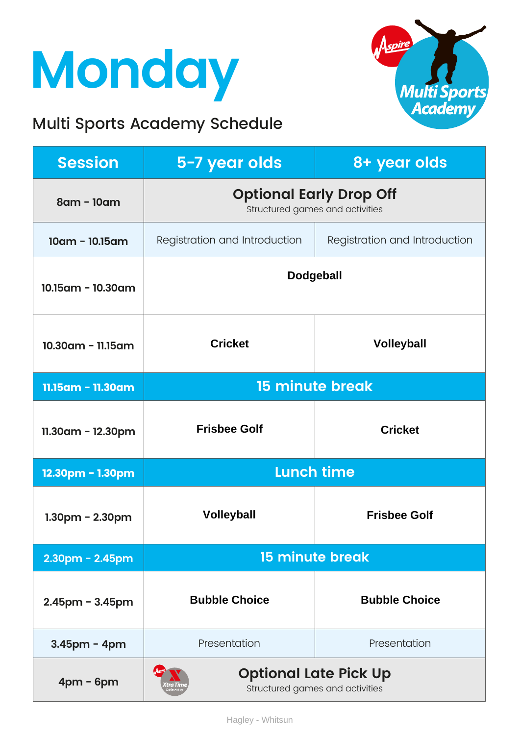## **Monday**

#### Multi Sports Academy Schedule



| <b>Session</b>        | 5-7 year olds                                                     | 8+ year olds                  |
|-----------------------|-------------------------------------------------------------------|-------------------------------|
| 8am - 10am            | <b>Optional Early Drop Off</b><br>Structured games and activities |                               |
| $10am - 10.15am$      | Registration and Introduction                                     | Registration and Introduction |
| 10.15am - 10.30am     | <b>Dodgeball</b>                                                  |                               |
| 10.30am - 11.15am     | <b>Cricket</b>                                                    | <b>Volleyball</b>             |
| 11.15am - 11.30am     | 15 minute break                                                   |                               |
| $11.30$ am - 12.30pm  | <b>Frisbee Golf</b>                                               | <b>Cricket</b>                |
| 12.30pm - 1.30pm      | <b>Lunch time</b>                                                 |                               |
| $1.30pm - 2.30pm$     | <b>Volleyball</b>                                                 | <b>Frisbee Golf</b>           |
| $2.30$ pm - $2.45$ pm | <b>15 minute break</b>                                            |                               |
| $2.45$ pm - $3.45$ pm | <b>Bubble Choice</b>                                              | <b>Bubble Choice</b>          |
| $3.45$ pm - 4pm       | Presentation                                                      | Presentation                  |
| $4pm - 6pm$           | <b>Optional Late Pick Up</b><br>Structured games and activities   |                               |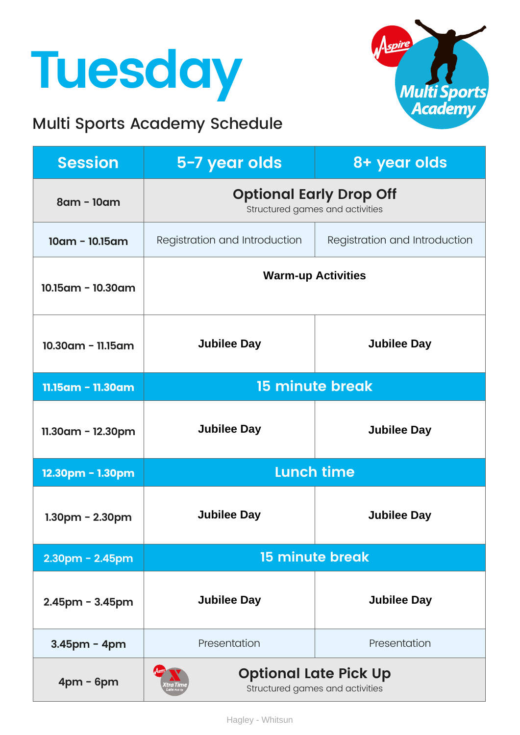### **Tuesday**

#### Multi Sports Academy Schedule



| <b>Session</b>          | 5-7 year olds                                                     | 8+ year olds                  |
|-------------------------|-------------------------------------------------------------------|-------------------------------|
| 8am - 10am              | <b>Optional Early Drop Off</b><br>Structured games and activities |                               |
| $10am - 10.15am$        | Registration and Introduction                                     | Registration and Introduction |
| $10.15$ am - $10.30$ am | <b>Warm-up Activities</b>                                         |                               |
| $10.30$ am - 11.15am    | <b>Jubilee Day</b>                                                | <b>Jubilee Day</b>            |
| 11.15am - 11.30am       | <b>15 minute break</b>                                            |                               |
| $11.30$ am - $12.30$ pm | <b>Jubilee Day</b>                                                | <b>Jubilee Day</b>            |
| 12.30pm - 1.30pm        | <b>Lunch time</b>                                                 |                               |
| $1.30$ pm - $2.30$ pm   | <b>Jubilee Day</b>                                                | <b>Jubilee Day</b>            |
| $2.30$ pm - $2.45$ pm   | <b>15 minute break</b>                                            |                               |
| $2.45$ pm - $3.45$ pm   | <b>Jubilee Day</b>                                                | <b>Jubilee Day</b>            |
| $3.45$ pm - 4pm         | Presentation                                                      | Presentation                  |
| $4pm - 6pm$             | <b>Optional Late Pick Up</b><br>Structured games and activities   |                               |